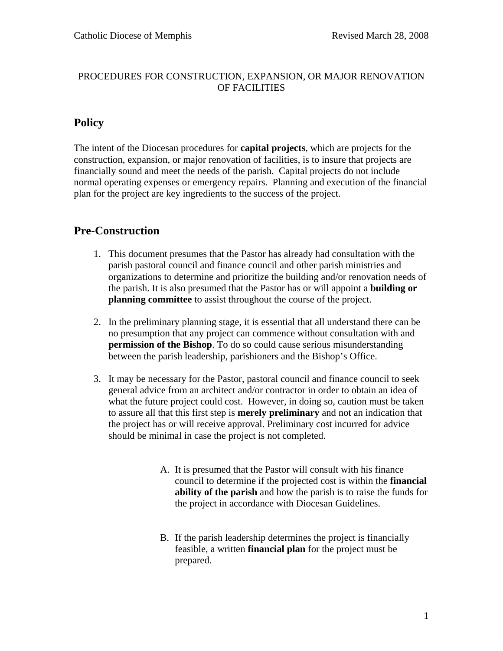### PROCEDURES FOR CONSTRUCTION, EXPANSION, OR MAJOR RENOVATION OF FACILITIES

## **Policy**

The intent of the Diocesan procedures for **capital projects**, which are projects for the construction, expansion, or major renovation of facilities, is to insure that projects are financially sound and meet the needs of the parish. Capital projects do not include normal operating expenses or emergency repairs. Planning and execution of the financial plan for the project are key ingredients to the success of the project.

## **Pre-Construction**

- 1. This document presumes that the Pastor has already had consultation with the parish pastoral council and finance council and other parish ministries and organizations to determine and prioritize the building and/or renovation needs of the parish. It is also presumed that the Pastor has or will appoint a **building or planning committee** to assist throughout the course of the project.
- 2. In the preliminary planning stage, it is essential that all understand there can be no presumption that any project can commence without consultation with and **permission of the Bishop**. To do so could cause serious misunderstanding between the parish leadership, parishioners and the Bishop's Office.
- 3. It may be necessary for the Pastor, pastoral council and finance council to seek general advice from an architect and/or contractor in order to obtain an idea of what the future project could cost. However, in doing so, caution must be taken to assure all that this first step is **merely preliminary** and not an indication that the project has or will receive approval. Preliminary cost incurred for advice should be minimal in case the project is not completed.
	- A. It is presumed that the Pastor will consult with his finance council to determine if the projected cost is within the **financial ability of the parish** and how the parish is to raise the funds for the project in accordance with Diocesan Guidelines.
	- B. If the parish leadership determines the project is financially feasible, a written **financial plan** for the project must be prepared.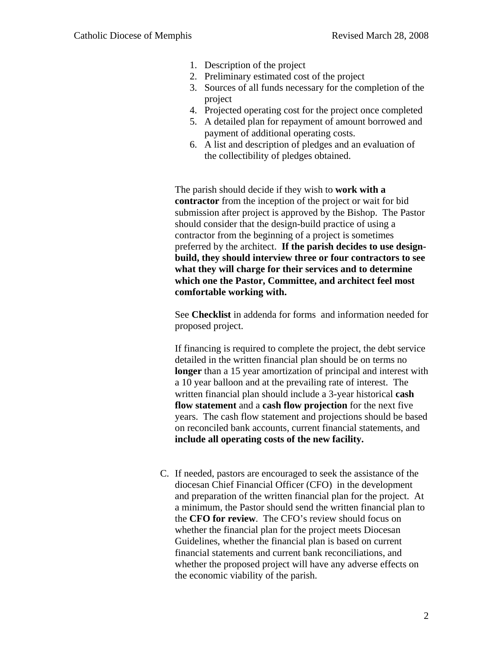- 1. Description of the project
- 2. Preliminary estimated cost of the project
- 3. Sources of all funds necessary for the completion of the project
- 4. Projected operating cost for the project once completed
- 5. A detailed plan for repayment of amount borrowed and payment of additional operating costs.
- 6. A list and description of pledges and an evaluation of the collectibility of pledges obtained.

The parish should decide if they wish to **work with a contractor** from the inception of the project or wait for bid submission after project is approved by the Bishop. The Pastor should consider that the design-build practice of using a contractor from the beginning of a project is sometimes preferred by the architect. **If the parish decides to use designbuild, they should interview three or four contractors to see what they will charge for their services and to determine which one the Pastor, Committee, and architect feel most comfortable working with.**

See **Checklist** in addenda for forms and information needed for proposed project.

If financing is required to complete the project, the debt service detailed in the written financial plan should be on terms no **longer** than a 15 year amortization of principal and interest with a 10 year balloon and at the prevailing rate of interest. The written financial plan should include a 3-year historical **cash flow statement** and a **cash flow projection** for the next five years. The cash flow statement and projections should be based on reconciled bank accounts, current financial statements, and **include all operating costs of the new facility.**

C. If needed, pastors are encouraged to seek the assistance of the diocesan Chief Financial Officer (CFO) in the development and preparation of the written financial plan for the project. At a minimum, the Pastor should send the written financial plan to the **CFO for review**. The CFO's review should focus on whether the financial plan for the project meets Diocesan Guidelines, whether the financial plan is based on current financial statements and current bank reconciliations, and whether the proposed project will have any adverse effects on the economic viability of the parish.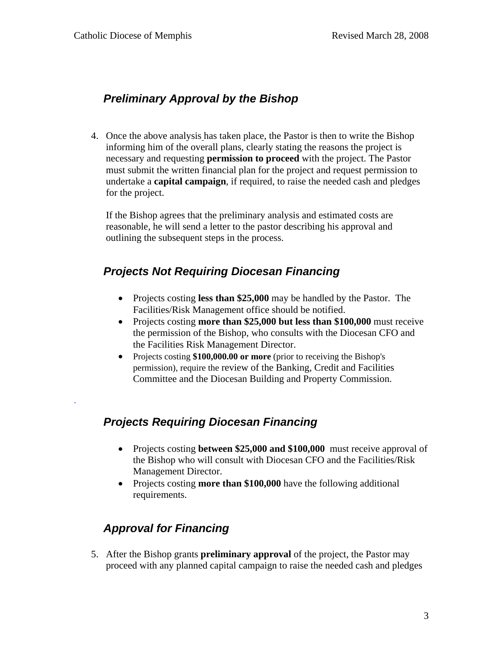# **Preliminary Approval by the Bishop**

4. Once the above analysis has taken place, the Pastor is then to write the Bishop informing him of the overall plans, clearly stating the reasons the project is necessary and requesting **permission to proceed** with the project. The Pastor must submit the written financial plan for the project and request permission to undertake a **capital campaign**, if required, to raise the needed cash and pledges for the project.

If the Bishop agrees that the preliminary analysis and estimated costs are reasonable, he will send a letter to the pastor describing his approval and outlining the subsequent steps in the process.

# **Projects Not Requiring Diocesan Financing**

- Projects costing **less than \$25,000** may be handled by the Pastor. The Facilities/Risk Management office should be notified.
- Projects costing **more than \$25,000 but less than \$100,000** must receive the permission of the Bishop, who consults with the Diocesan CFO and the Facilities Risk Management Director.
- Projects costing **\$100,000.00 or more** (prior to receiving the Bishop's permission), require the review of the Banking, Credit and Facilities Committee and the Diocesan Building and Property Commission.

# **Projects Requiring Diocesan Financing**

- Projects costing **between \$25,000 and \$100,000** must receive approval of the Bishop who will consult with Diocesan CFO and the Facilities/Risk Management Director.
- Projects costing **more than \$100,000** have the following additional requirements.

# **Approval for Financing**

.

5. After the Bishop grants **preliminary approval** of the project, the Pastor may proceed with any planned capital campaign to raise the needed cash and pledges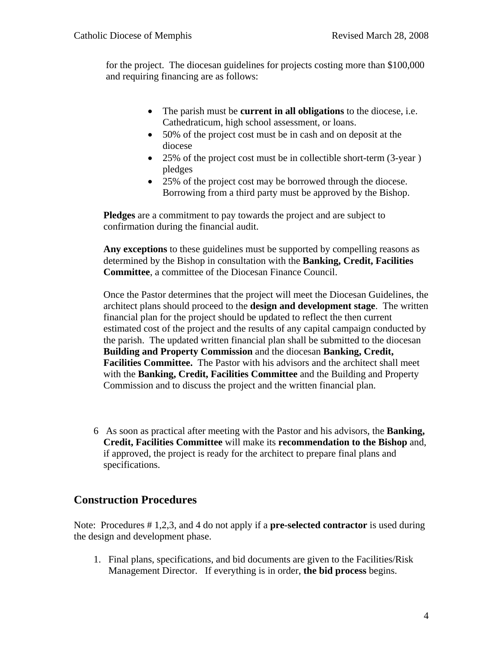for the project. The diocesan guidelines for projects costing more than \$100,000 and requiring financing are as follows:

- The parish must be **current in all obligations** to the diocese, i.e. Cathedraticum, high school assessment, or loans.
- 50% of the project cost must be in cash and on deposit at the diocese
- 25% of the project cost must be in collectible short-term (3-year) pledges
- 25% of the project cost may be borrowed through the diocese. Borrowing from a third party must be approved by the Bishop.

**Pledges** are a commitment to pay towards the project and are subject to confirmation during the financial audit.

**Any exceptions** to these guidelines must be supported by compelling reasons as determined by the Bishop in consultation with the **Banking, Credit, Facilities Committee**, a committee of the Diocesan Finance Council.

Once the Pastor determines that the project will meet the Diocesan Guidelines, the architect plans should proceed to the **design and development stage**. The written financial plan for the project should be updated to reflect the then current estimated cost of the project and the results of any capital campaign conducted by the parish. The updated written financial plan shall be submitted to the diocesan **Building and Property Commission** and the diocesan **Banking, Credit, Facilities Committee.** The Pastor with his advisors and the architect shall meet with the **Banking, Credit, Facilities Committee** and the Building and Property Commission and to discuss the project and the written financial plan.

6 As soon as practical after meeting with the Pastor and his advisors, the **Banking, Credit, Facilities Committee** will make its **recommendation to the Bishop** and, if approved, the project is ready for the architect to prepare final plans and specifications.

### **Construction Procedures**

Note: Procedures # 1,2,3, and 4 do not apply if a **pre-selected contractor** is used during the design and development phase.

1. Final plans, specifications, and bid documents are given to the Facilities/Risk Management Director. If everything is in order, **the bid process** begins.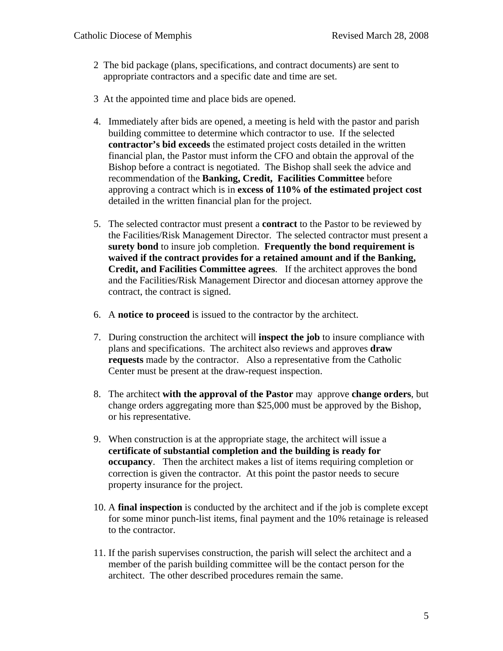- 2 The bid package (plans, specifications, and contract documents) are sent to appropriate contractors and a specific date and time are set.
- 3 At the appointed time and place bids are opened.
- 4. Immediately after bids are opened, a meeting is held with the pastor and parish building committee to determine which contractor to use. If the selected **contractor's bid exceeds** the estimated project costs detailed in the written financial plan, the Pastor must inform the CFO and obtain the approval of the Bishop before a contract is negotiated. The Bishop shall seek the advice and recommendation of the **Banking, Credit, Facilities Committee** before approving a contract which is in **excess of 110% of the estimated project cost** detailed in the written financial plan for the project.
- 5. The selected contractor must present a **contract** to the Pastor to be reviewed by the Facilities/Risk Management Director. The selected contractor must present a **surety bond** to insure job completion. **Frequently the bond requirement is waived if the contract provides for a retained amount and if the Banking, Credit, and Facilities Committee agrees**. If the architect approves the bond and the Facilities/Risk Management Director and diocesan attorney approve the contract, the contract is signed.
- 6. A **notice to proceed** is issued to the contractor by the architect.
- 7. During construction the architect will **inspect the job** to insure compliance with plans and specifications. The architect also reviews and approves **draw requests** made by the contractor. Also a representative from the Catholic Center must be present at the draw-request inspection.
- 8. The architect **with the approval of the Pastor** may approve **change orders**, but change orders aggregating more than \$25,000 must be approved by the Bishop, or his representative.
- 9. When construction is at the appropriate stage, the architect will issue a **certificate of substantial completion and the building is ready for occupancy**. Then the architect makes a list of items requiring completion or correction is given the contractor. At this point the pastor needs to secure property insurance for the project.
- 10. A **final inspection** is conducted by the architect and if the job is complete except for some minor punch-list items, final payment and the 10% retainage is released to the contractor.
- 11. If the parish supervises construction, the parish will select the architect and a member of the parish building committee will be the contact person for the architect. The other described procedures remain the same.